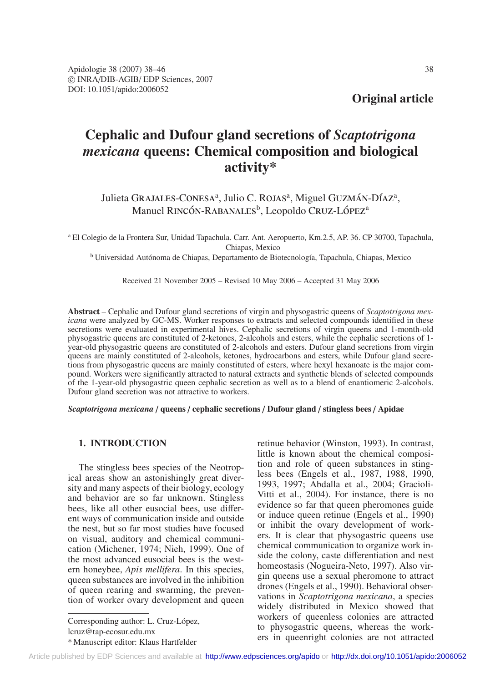**Original article**

# **Cephalic and Dufour gland secretions of** *Scaptotrigona mexicana* **queens: Chemical composition and biological activity\***

## Julieta GRAJALES-CONESA<sup>a</sup>, Julio C. ROJAS<sup>a</sup>, Miguel GUZMÁN-DÍAZ<sup>a</sup>, Manuel RINCÓN-RABANALES<sup>b</sup>, Leopoldo CRUZ-LÓPEZ<sup>a</sup>

<sup>a</sup> El Colegio de la Frontera Sur, Unidad Tapachula. Carr. Ant. Aeropuerto, Km.2.5, AP. 36. CP 30700, Tapachula, Chiapas, Mexico

<sup>b</sup> Universidad Autónoma de Chiapas, Departamento de Biotecnología, Tapachula, Chiapas, Mexico

Received 21 November 2005 – Revised 10 May 2006 – Accepted 31 May 2006

**Abstract** – Cephalic and Dufour gland secretions of virgin and physogastric queens of *Scaptotrigona mexicana* were analyzed by GC-MS. Worker responses to extracts and selected compounds identified in these secretions were evaluated in experimental hives. Cephalic secretions of virgin queens and 1-month-old physogastric queens are constituted of 2-ketones, 2-alcohols and esters, while the cephalic secretions of 1 year-old physogastric queens are constituted of 2-alcohols and esters. Dufour gland secretions from virgin queens are mainly constituted of 2-alcohols, ketones, hydrocarbons and esters, while Dufour gland secretions from physogastric queens are mainly constituted of esters, where hexyl hexanoate is the major compound. Workers were significantly attracted to natural extracts and synthetic blends of selected compounds of the 1-year-old physogastric queen cephalic secretion as well as to a blend of enantiomeric 2-alcohols. Dufour gland secretion was not attractive to workers.

*Scaptotrigona mexicana* / **queens** / **cephalic secretions** / **Dufour gland** / **stingless bees** / **Apidae**

## **1. INTRODUCTION**

The stingless bees species of the Neotropical areas show an astonishingly great diversity and many aspects of their biology, ecology and behavior are so far unknown. Stingless bees, like all other eusocial bees, use different ways of communication inside and outside the nest, but so far most studies have focused on visual, auditory and chemical communication (Michener, 1974; Nieh, 1999). One of the most advanced eusocial bees is the western honeybee, *Apis mellifera*. In this species, queen substances are involved in the inhibition of queen rearing and swarming, the prevention of worker ovary development and queen

Corresponding author: L. Cruz-López, lcruz@tap-ecosur.edu.mx

\* Manuscript editor: Klaus Hartfelder

retinue behavior (Winston, 1993). In contrast, little is known about the chemical composition and role of queen substances in stingless bees (Engels et al., 1987, 1988, 1990, 1993, 1997; Abdalla et al., 2004; Gracioli-Vitti et al., 2004). For instance, there is no evidence so far that queen pheromones guide or induce queen retinue (Engels et al., 1990) or inhibit the ovary development of workers. It is clear that physogastric queens use chemical communication to organize work inside the colony, caste differentiation and nest homeostasis (Nogueira-Neto, 1997). Also virgin queens use a sexual pheromone to attract drones (Engels et al., 1990). Behavioral observations in *Scaptotrigona mexicana*, a species widely distributed in Mexico showed that workers of queenless colonies are attracted to physogastric queens, whereas the workers in queenright colonies are not attracted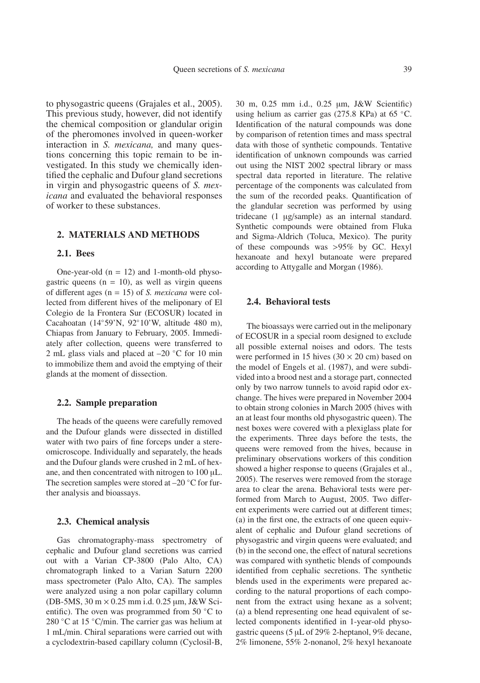to physogastric queens (Grajales et al., 2005). This previous study, however, did not identify the chemical composition or glandular origin of the pheromones involved in queen-worker interaction in *S. mexicana,* and many questions concerning this topic remain to be investigated. In this study we chemically identified the cephalic and Dufour gland secretions in virgin and physogastric queens of *S. mexicana* and evaluated the behavioral responses of worker to these substances.

#### **2. MATERIALS AND METHODS**

#### **2.1. Bees**

One-year-old  $(n = 12)$  and 1-month-old physogastric queens ( $n = 10$ ), as well as virgin queens of different ages (n = 15) of *S. mexicana* were collected from different hives of the meliponary of El Colegio de la Frontera Sur (ECOSUR) located in Cacahoatan (14◦59'N, 92◦10'W, altitude 480 m), Chiapas from January to February, 2005. Immediately after collection, queens were transferred to 2 mL glass vials and placed at –20 ◦C for 10 min to immobilize them and avoid the emptying of their glands at the moment of dissection.

### **2.2. Sample preparation**

The heads of the queens were carefully removed and the Dufour glands were dissected in distilled water with two pairs of fine forceps under a stereomicroscope. Individually and separately, the heads and the Dufour glands were crushed in 2 mL of hexane, and then concentrated with nitrogen to 100 µL. The secretion samples were stored at  $-20$  °C for further analysis and bioassays.

#### **2.3. Chemical analysis**

Gas chromatography-mass spectrometry of cephalic and Dufour gland secretions was carried out with a Varian CP-3800 (Palo Alto, CA) chromatograph linked to a Varian Saturn 2200 mass spectrometer (Palo Alto, CA). The samples were analyzed using a non polar capillary column (DB-5MS, 30 m × 0.25 mm i.d. 0.25 µm, J&W Scientific). The oven was programmed from 50 ◦C to 280 ◦C at 15 ◦C/min. The carrier gas was helium at 1 mL/min. Chiral separations were carried out with a cyclodextrin-based capillary column (Cyclosil-B, 30 m, 0.25 mm i.d., 0.25 µm, J&W Scientific) using helium as carrier gas (275.8 KPa) at 65 ◦C. Identification of the natural compounds was done by comparison of retention times and mass spectral data with those of synthetic compounds. Tentative identification of unknown compounds was carried out using the NIST 2002 spectral library or mass spectral data reported in literature. The relative percentage of the components was calculated from the sum of the recorded peaks. Quantification of the glandular secretion was performed by using tridecane (1 µg/sample) as an internal standard. Synthetic compounds were obtained from Fluka and Sigma-Aldrich (Toluca, Mexico). The purity of these compounds was >95% by GC. Hexyl hexanoate and hexyl butanoate were prepared according to Attygalle and Morgan (1986).

### **2.4. Behavioral tests**

The bioassays were carried out in the meliponary of ECOSUR in a special room designed to exclude all possible external noises and odors. The tests were performed in 15 hives  $(30 \times 20 \text{ cm})$  based on the model of Engels et al. (1987), and were subdivided into a brood nest and a storage part, connected only by two narrow tunnels to avoid rapid odor exchange. The hives were prepared in November 2004 to obtain strong colonies in March 2005 (hives with an at least four months old physogastric queen). The nest boxes were covered with a plexiglass plate for the experiments. Three days before the tests, the queens were removed from the hives, because in preliminary observations workers of this condition showed a higher response to queens (Grajales et al., 2005). The reserves were removed from the storage area to clear the arena. Behavioral tests were performed from March to August, 2005. Two different experiments were carried out at different times; (a) in the first one, the extracts of one queen equivalent of cephalic and Dufour gland secretions of physogastric and virgin queens were evaluated; and (b) in the second one, the effect of natural secretions was compared with synthetic blends of compounds identified from cephalic secretions. The synthetic blends used in the experiments were prepared according to the natural proportions of each component from the extract using hexane as a solvent; (a) a blend representing one head equivalent of selected components identified in 1-year-old physogastric queens (5 µL of 29% 2-heptanol, 9% decane, 2% limonene, 55% 2-nonanol, 2% hexyl hexanoate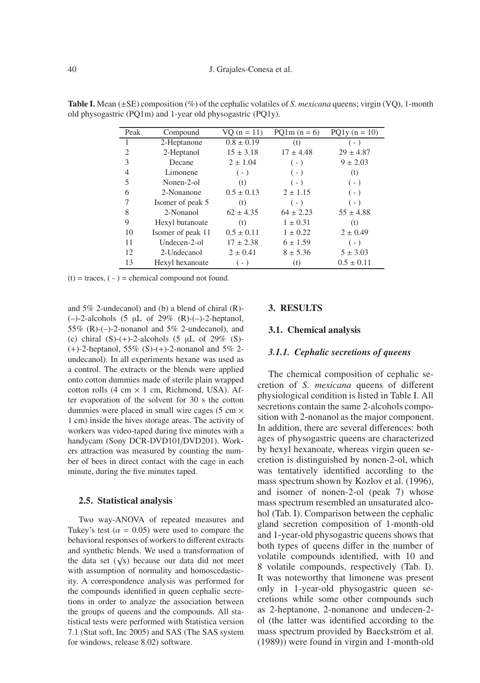| Peak           | Compound          | $VO (n = 11)$  | $PQ1m (n = 6)$ | $PQ1y(n = 10)$ |
|----------------|-------------------|----------------|----------------|----------------|
| 1              | 2-Heptanone       | $0.8 \pm 0.19$ | (t)            | $(-)$          |
| $\overline{2}$ | 2-Heptanol        | $15 \pm 3.18$  | $17 + 4.48$    | $29 \pm 4.87$  |
| 3              | Decane            | $2 \pm 1.04$   | $(-)$          | $9 \pm 2.03$   |
| 4              | Limonene          | $(-)$          | $(-)$          | (t)            |
| 5              | Nonen-2-ol        | (t)            | $(-)$          | $(-)$          |
| 6              | 2-Nonanone        | $0.5 \pm 0.13$ | $2 + 1.15$     | $(-)$          |
| 7              | Isomer of peak 5  | (t)            | $(-)$          | $(-)$          |
| 8              | 2-Nonanol         | $62 \pm 4.35$  | $64 \pm 2.23$  | $55 \pm 4.88$  |
| 9              | Hexyl butanoate   | (t)            | $1 \pm 0.31$   | (t)            |
| 10             | Isomer of peak 11 | $0.5 \pm 0.11$ | $1 \pm 0.22$   | $2 \pm 0.49$   |
| 11             | Undecen-2-ol      | $17 \pm 2.38$  | $6 \pm 1.59$   | $(-)$          |
| 12             | 2-Undecanol       | $2 \pm 0.41$   | $8 \pm 5.36$   | $5 \pm 3.03$   |
| 13             | Hexyl hexanoate   | $(-)$          | (t)            | $0.5 \pm 0.11$ |

**Table I.** Mean (±SE) composition (%) of the cephalic volatiles of *S. mexicana* queens; virgin (VQ), 1-month old physogastric (PQ1m) and 1-year old physogastric (PQ1y).

 $(t)$  = traces,  $(-)$  = chemical compound not found.

and 5% 2-undecanol) and (b) a blend of chiral (R)-  $(-)$ -2-alcohols (5 µL of 29% (R)- $(-)$ -2-heptanol, 55% (R)-(–)-2-nonanol and 5% 2-undecanol), and (c) chiral  $(S)-(+)$ -2-alcohols  $(5 \mu L)$  of  $29\%$   $(S)-$ (+)-2-heptanol, 55% (S)-(+)-2-nonanol and 5% 2 undecanol). In all experiments hexane was used as a control. The extracts or the blends were applied onto cotton dummies made of sterile plain wrapped cotton rolls (4 cm  $\times$  1 cm, Richmond, USA). After evaporation of the solvent for 30 s the cotton dummies were placed in small wire cages (5 cm  $\times$ 1 cm) inside the hives storage areas. The activity of workers was video-taped during five minutes with a handycam (Sony DCR-DVD101/DVD201). Workers attraction was measured by counting the number of bees in direct contact with the cage in each minute, during the five minutes taped.

#### **2.5. Statistical analysis**

Two way-ANOVA of repeated measures and Tukey's test ( $\alpha = 0.05$ ) were used to compare the behavioral responses of workers to different extracts and synthetic blends. We used a transformation of the data set  $(\sqrt{x})$  because our data did not meet with assumption of normality and homoscedasticity. A correspondence analysis was performed for the compounds identified in queen cephalic secretions in order to analyze the association between the groups of queens and the compounds. All statistical tests were performed with Statistica version 7.1 (Stat soft, Inc 2005) and SAS (The SAS system for windows, release 8.02) software.

### **3. RESULTS**

## **3.1. Chemical analysis**

## *3.1.1. Cephalic secretions of queens*

The chemical composition of cephalic secretion of *S. mexicana* queens of different physiological condition is listed in Table I. All secretions contain the same 2-alcohols composition with 2-nonanol as the major component. In addition, there are several differences: both ages of physogastric queens are characterized by hexyl hexanoate, whereas virgin queen secretion is distinguished by nonen-2-ol, which was tentatively identified according to the mass spectrum shown by Kozlov et al. (1996), and isomer of nonen-2-ol (peak 7) whose mass spectrum resembled an unsaturated alcohol (Tab. I). Comparison between the cephalic gland secretion composition of 1-month-old and 1-year-old physogastric queens shows that both types of queens differ in the number of volatile compounds identified, with 10 and 8 volatile compounds, respectively (Tab. I). It was noteworthy that limonene was present only in 1-year-old physogastric queen secretions while some other compounds such as 2-heptanone, 2-nonanone and undecen-2 ol (the latter was identified according to the mass spectrum provided by Baeckström et al. (1989)) were found in virgin and 1-month-old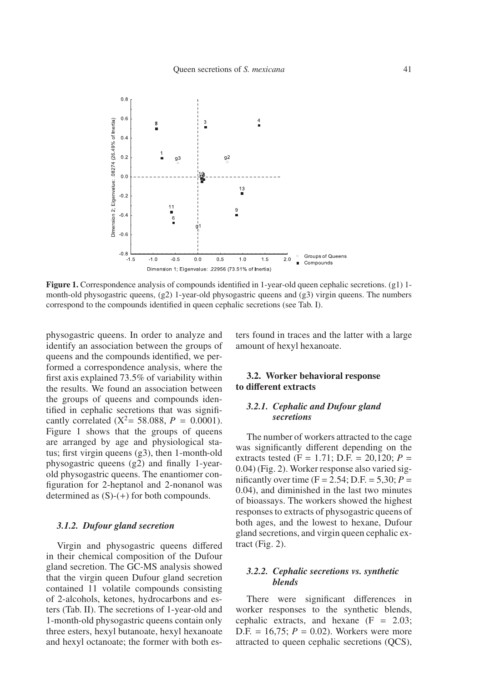

**Figure 1.** Correspondence analysis of compounds identified in 1-year-old queen cephalic secretions. (g1) 1month-old physogastric queens, (g2) 1-year-old physogastric queens and (g3) virgin queens. The numbers correspond to the compounds identified in queen cephalic secretions (see Tab. I).

physogastric queens. In order to analyze and identify an association between the groups of queens and the compounds identified, we performed a correspondence analysis, where the first axis explained 73.5% of variability within the results. We found an association between the groups of queens and compounds identified in cephalic secretions that was significantly correlated  $(X^2 = 58.088, P = 0.0001)$ . Figure 1 shows that the groups of queens are arranged by age and physiological status; first virgin queens (g3), then 1-month-old physogastric queens (g2) and finally 1-yearold physogastric queens. The enantiomer configuration for 2-heptanol and 2-nonanol was determined as  $(S)-(+)$  for both compounds.

#### *3.1.2. Dufour gland secretion*

Virgin and physogastric queens differed in their chemical composition of the Dufour gland secretion. The GC-MS analysis showed that the virgin queen Dufour gland secretion contained 11 volatile compounds consisting of 2-alcohols, ketones, hydrocarbons and esters (Tab. II). The secretions of 1-year-old and 1-month-old physogastric queens contain only three esters, hexyl butanoate, hexyl hexanoate and hexyl octanoate; the former with both esters found in traces and the latter with a large amount of hexyl hexanoate.

## **3.2. Worker behavioral response to di**ff**erent extracts**

## *3.2.1. Cephalic and Dufour gland secretions*

The number of workers attracted to the cage was significantly different depending on the extracts tested (F = 1.71; D.F. = 20,120;  $P =$ 0.04) (Fig. 2). Worker response also varied significantly over time (F = 2.54; D.F. = 5,30;  $P =$ 0.04), and diminished in the last two minutes of bioassays. The workers showed the highest responses to extracts of physogastric queens of both ages, and the lowest to hexane, Dufour gland secretions, and virgin queen cephalic extract (Fig. 2).

## *3.2.2. Cephalic secretions vs. synthetic blends*

There were significant differences in worker responses to the synthetic blends, cephalic extracts, and hexane  $(F = 2.03)$ ; D.F. = 16,75;  $P = 0.02$ ). Workers were more attracted to queen cephalic secretions (QCS),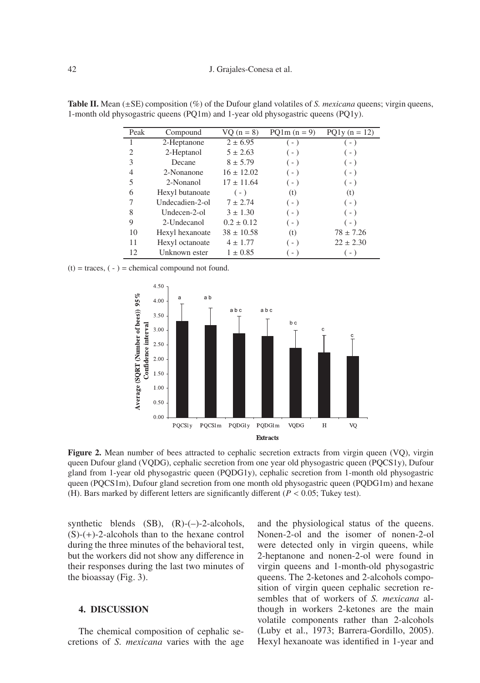| Peak | Compound        | $VO (n = 8)$   | $PQ1m (n = 9)$ | $PQ1y(n = 12)$ |
|------|-----------------|----------------|----------------|----------------|
| 1    | 2-Heptanone     | $2 \pm 6.95$   | $(-)$          | $(-)$          |
| 2    | 2-Heptanol      | $5 \pm 2.63$   | $(-)$          | $(-)$          |
| 3    | Decane          | $8 \pm 5.79$   | $(-)$          | $(-)$          |
| 4    | 2-Nonanone      | $16 \pm 12.02$ | $(-)$          | $(-)$          |
| 5    | 2-Nonanol       | $17 \pm 11.64$ | $(-)$          | $(-)$          |
| 6    | Hexyl butanoate | $(-)$          | (t)            | (t)            |
| 7    | Undecadien-2-ol | $7 + 2.74$     | $(-)$          | $(-)$          |
| 8    | Undecen-2- $ol$ | $3 \pm 1.30$   | $(-)$          | $(-)$          |
| 9    | 2-Undecanol     | $0.2 \pm 0.12$ | $(-)$          | $(-)$          |
| 10   | Hexyl hexanoate | $38 \pm 10.58$ | (t)            | $78 \pm 7.26$  |
| 11   | Hexyl octanoate | $4 \pm 1.77$   | $(-)$          | $22 \pm 2.30$  |
| 12   | Unknown ester   | $1 \pm 0.85$   | $-$ )          | $(-)$          |

**Table II.** Mean ( $\pm$ SE) composition (%) of the Dufour gland volatiles of *S. mexicana* queens; virgin queens, 1-month old physogastric queens (PQ1m) and 1-year old physogastric queens (PQ1y).

 $(t)$  = traces,  $(-)$  = chemical compound not found.



**Figure 2.** Mean number of bees attracted to cephalic secretion extracts from virgin queen (VQ), virgin queen Dufour gland (VQDG), cephalic secretion from one year old physogastric queen (PQCS1y), Dufour gland from 1-year old physogastric queen (PQDG1y), cephalic secretion from 1-month old physogastric queen (PQCS1m), Dufour gland secretion from one month old physogastric queen (PQDG1m) and hexane (H). Bars marked by different letters are significantly different (*P* < 0.05; Tukey test).

synthetic blends  $(SB)$ ,  $(R)$ - $(-)$ -2-alcohols,  $(S)-(+)$ -2-alcohols than to the hexane control during the three minutes of the behavioral test, but the workers did not show any difference in their responses during the last two minutes of the bioassay (Fig. 3).

## **4. DISCUSSION**

The chemical composition of cephalic secretions of *S. mexicana* varies with the age and the physiological status of the queens. Nonen-2-ol and the isomer of nonen-2-ol were detected only in virgin queens, while 2-heptanone and nonen-2-ol were found in virgin queens and 1-month-old physogastric queens. The 2-ketones and 2-alcohols composition of virgin queen cephalic secretion resembles that of workers of *S. mexicana* although in workers 2-ketones are the main volatile components rather than 2-alcohols (Luby et al., 1973; Barrera-Gordillo, 2005). Hexyl hexanoate was identified in 1-year and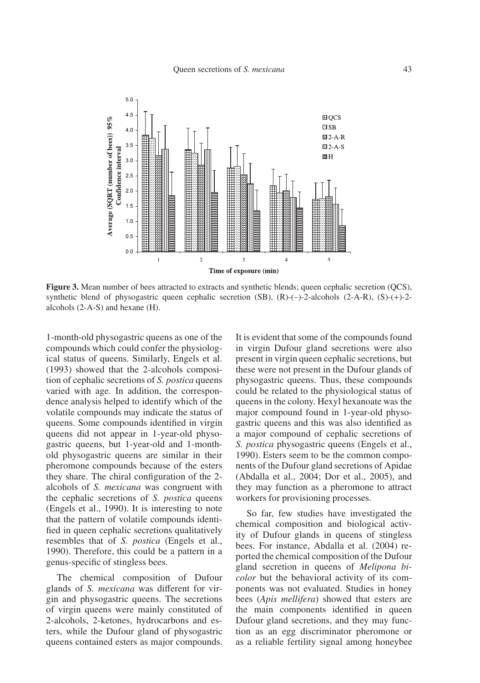

**Figure 3.** Mean number of bees attracted to extracts and synthetic blends; queen cephalic secretion (QCS), synthetic blend of physogastric queen cephalic secretion (SB), (R)-(–)-2-alcohols (2-A-R), (S)-(+)-2 alcohols (2-A-S) and hexane (H).

1-month-old physogastric queens as one of the compounds which could confer the physiological status of queens. Similarly, Engels et al. (1993) showed that the 2-alcohols composition of cephalic secretions of *S. postica* queens varied with age. In addition, the correspondence analysis helped to identify which of the volatile compounds may indicate the status of queens. Some compounds identified in virgin queens did not appear in 1-year-old physogastric queens, but 1-year-old and 1-monthold physogastric queens are similar in their pheromone compounds because of the esters they share. The chiral configuration of the 2 alcohols of *S. mexicana* was congruent with the cephalic secretions of *S. postica* queens (Engels et al., 1990). It is interesting to note that the pattern of volatile compounds identified in queen cephalic secretions qualitatively resembles that of *S. postica* (Engels et al., 1990). Therefore, this could be a pattern in a genus-specific of stingless bees.

The chemical composition of Dufour glands of *S. mexicana* was different for virgin and physogastric queens. The secretions of virgin queens were mainly constituted of 2-alcohols, 2-ketones, hydrocarbons and esters, while the Dufour gland of physogastric queens contained esters as major compounds.

It is evident that some of the compounds found in virgin Dufour gland secretions were also present in virgin queen cephalic secretions, but these were not present in the Dufour glands of physogastric queens. Thus, these compounds could be related to the physiological status of queens in the colony. Hexyl hexanoate was the major compound found in 1-year-old physogastric queens and this was also identified as a major compound of cephalic secretions of *S. postica* physogastric queens (Engels et al., 1990). Esters seem to be the common components of the Dufour gland secretions of Apidae (Abdalla et al., 2004; Dor et al., 2005), and they may function as a pheromone to attract workers for provisioning processes.

So far, few studies have investigated the chemical composition and biological activity of Dufour glands in queens of stingless bees. For instance, Abdalla et al. (2004) reported the chemical composition of the Dufour gland secretion in queens of *Melipona bicolor* but the behavioral activity of its components was not evaluated. Studies in honey bees (*Apis mellifera*) showed that esters are the main components identified in queen Dufour gland secretions, and they may function as an egg discriminator pheromone or as a reliable fertility signal among honeybee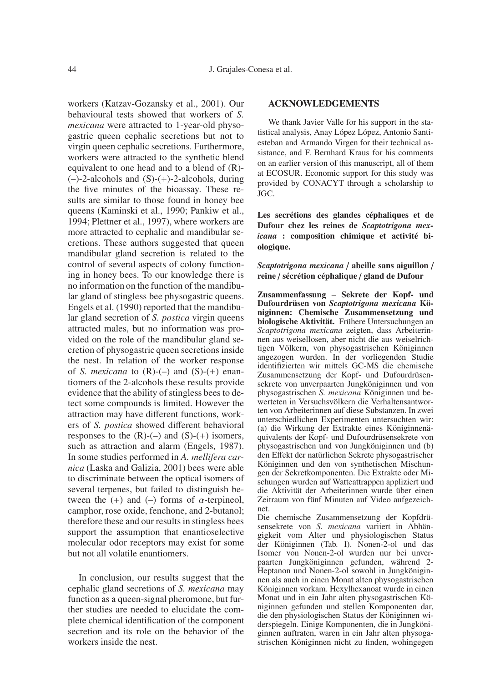workers (Katzav-Gozansky et al., 2001). Our behavioural tests showed that workers of *S. mexicana* were attracted to 1-year-old physogastric queen cephalic secretions but not to virgin queen cephalic secretions. Furthermore, workers were attracted to the synthetic blend equivalent to one head and to a blend of (R)-  $(-)$ -2-alcohols and  $(S)-(+)$ -2-alcohols, during the five minutes of the bioassay. These results are similar to those found in honey bee queens (Kaminski et al., 1990; Pankiw et al., 1994; Plettner et al., 1997), where workers are more attracted to cephalic and mandibular secretions. These authors suggested that queen mandibular gland secretion is related to the control of several aspects of colony functioning in honey bees. To our knowledge there is no information on the function of the mandibular gland of stingless bee physogastric queens. Engels et al. (1990) reported that the mandibular gland secretion of *S. postica* virgin queens attracted males, but no information was provided on the role of the mandibular gland secretion of physogastric queen secretions inside the nest. In relation of the worker response of *S. mexicana* to  $(R)$ - $(-)$  and  $(S)$ - $(+)$  enantiomers of the 2-alcohols these results provide evidence that the ability of stingless bees to detect some compounds is limited. However the attraction may have different functions, workers of *S. postica* showed different behavioral responses to the  $(R)$ - $(-)$  and  $(S)$ - $(+)$  isomers, such as attraction and alarm (Engels, 1987). In some studies performed in *A. mellifera carnica* (Laska and Galizia, 2001) bees were able to discriminate between the optical isomers of several terpenes, but failed to distinguish between the  $(+)$  and  $(-)$  forms of  $\alpha$ -terpineol, camphor, rose oxide, fenchone, and 2-butanol; therefore these and our results in stingless bees support the assumption that enantioselective molecular odor receptors may exist for some but not all volatile enantiomers.

In conclusion, our results suggest that the cephalic gland secretions of *S. mexicana* may function as a queen-signal pheromone, but further studies are needed to elucidate the complete chemical identification of the component secretion and its role on the behavior of the workers inside the nest.

## **ACKNOWLEDGEMENTS**

We thank Javier Valle for his support in the statistical analysis, Anay López López, Antonio Santiesteban and Armando Virgen for their technical assistance, and F. Bernhard Kraus for his comments on an earlier version of this manuscript, all of them at ECOSUR. Economic support for this study was provided by CONACYT through a scholarship to JGC.

**Les secrétions des glandes céphaliques et de Dufour chez les reines de** *Scaptotrigona mexicana* **: composition chimique et activité biologique.**

*Scaptotrigona mexicana* / **abeille sans aiguillon** / **reine** / **sécrétion céphalique** / **gland de Dufour**

**Zusammenfassung** – **Sekrete der Kopf- und Dufourdrüsen von** *Scaptotrigona mexicana* **Königinnen: Chemische Zusammensetzung und biologische Aktivität.** Frühere Untersuchungen an *Scaptotrigona mexicana* zeigten, dass Arbeiterinnen aus weisellosen, aber nicht die aus weiselrichtigen Völkern, von physogastrischen Königinnen angezogen wurden. In der vorliegenden Studie identifizierten wir mittels GC-MS die chemische Zusammensetzung der Kopf- und Dufourdrüsensekrete von unverpaarten Jungköniginnen und von physogastrischen *S. mexicana* Königinnen und bewerteten in Versuchsvölkern die Verhaltensantworten von Arbeiterinnen auf diese Substanzen. In zwei unterschiedlichen Experimenten untersuchten wir: (a) die Wirkung der Extrakte eines Königinnenäquivalents der Kopf- und Dufourdrüsensekrete von physogastrischen und von Jungköniginnen und (b) den Effekt der natürlichen Sekrete physogastrischer Königinnen und den von synthetischen Mischungen der Sekretkomponenten. Die Extrakte oder Mischungen wurden auf Watteattrappen appliziert und die Aktivität der Arbeiterinnen wurde über einen Zeitraum von fünf Minuten auf Video aufgezeichnet.

Die chemische Zusammensetzung der Kopfdrüsensekrete von *S. mexicana* variiert in Abhängigkeit vom Alter und physiologischen Status der Königinnen (Tab. I). Nonen-2-ol und das Isomer von Nonen-2-ol wurden nur bei unverpaarten Jungköniginnen gefunden, während 2- Heptanon und Nonen-2-ol sowohl in Jungköniginnen als auch in einen Monat alten physogastrischen Königinnen vorkam. Hexylhexanoat wurde in einen Monat und in ein Jahr alten physogastrischen Königinnen gefunden und stellen Komponenten dar, die den physiologischen Status der Königinnen widerspiegeln. Einige Komponenten, die in Jungköniginnen auftraten, waren in ein Jahr alten physogastrischen Königinnen nicht zu finden, wohingegen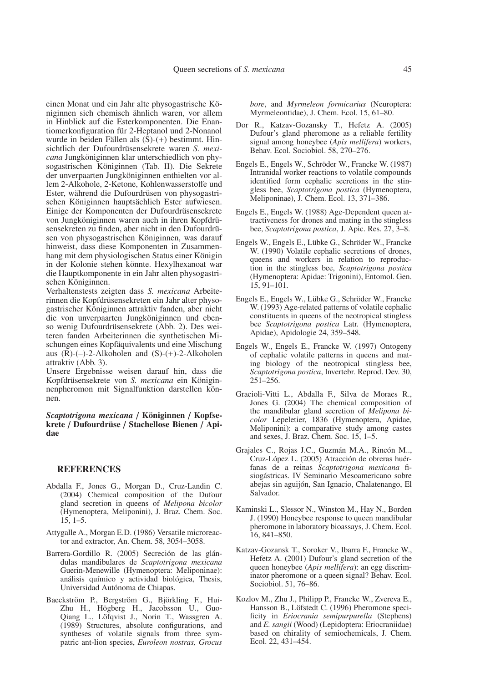einen Monat und ein Jahr alte physogastrische Königinnen sich chemisch ähnlich waren, vor allem in Hinblick auf die Esterkomponenten. Die Enantiomerkonfiguration für 2-Heptanol und 2-Nonanol wurde in beiden Fällen als (S)-(+) bestimmt. Hinsichtlich der Dufourdrüsensekrete waren *S. mexicana* Jungköniginnen klar unterschiedlich von physogastrischen Königinnen (Tab. II). Die Sekrete der unverpaarten Jungköniginnen enthielten vor allem 2-Alkohole, 2-Ketone, Kohlenwasserstoffe und Ester, während die Dufourdrüsen von physogastrischen Königinnen hauptsächlich Ester aufwiesen. Einige der Komponenten der Dufourdrüsensekrete von Jungköniginnen waren auch in ihren Kopfdrüsensekreten zu finden, aber nicht in den Dufourdrüsen von physogastrischen Königinnen, was darauf hinweist, dass diese Komponenten in Zusammenhang mit dem physiologischen Status einer Königin in der Kolonie stehen könnte. Hexylhexanoat war die Hauptkomponente in ein Jahr alten physogastrischen Königinnen.

Verhaltenstests zeigten dass *S. mexicana* Arbeiterinnen die Kopfdrüsensekreten ein Jahr alter physogastrischer Königinnen attraktiv fanden, aber nicht die von unverpaarten Jungköniginnen und ebenso wenig Dufourdrüsensekrete (Abb. 2). Des weiteren fanden Arbeiterinnen die synthetischen Mischungen eines Kopfäquivalents und eine Mischung aus  $(R)$ - $(-)$ -2-Alkoholen and  $(S)$ - $(+)$ -2-Alkoholen attraktiv (Abb. 3).

Unsere Ergebnisse weisen darauf hin, dass die Kopfdrüsensekrete von *S. mexicana* ein Königinnenpheromon mit Signalfunktion darstellen können.

*Scaptotrigona mexicana* / **Königinnen** / **Kopfsekrete** / **Dufourdrüse** / **Stachellose Bienen** / **Apidae**

### **REFERENCES**

- Abdalla F., Jones G., Morgan D., Cruz-Landin C. (2004) Chemical composition of the Dufour gland secretion in queens of *Melipona bicolor* (Hymenoptera, Meliponini), J. Braz. Chem. Soc. 15, 1–5.
- Attygalle A., Morgan E.D. (1986) Versatile microreactor and extractor, An. Chem. 58, 3054–3058.
- Barrera-Gordillo R. (2005) Secreción de las glándulas mandibulares de *Scaptotrigona mexicana* Guerin-Menewille (Hymenoptera: Meliponinae): análisis químico y actividad biológica, Thesis, Universidad Autónoma de Chiapas.
- Baeckström P., Bergström G., Björkling F., Hui-Zhu H., Högberg H., Jacobsson U., Guo-Qiang L., Löfqvist J., Norin T., Wassgren A. (1989) Structures, absolute configurations, and syntheses of volatile signals from three sympatric ant-lion species, *Euroleon nostras, Grocus*

*bore*, and *Myrmeleon formicarius* (Neuroptera: Myrmeleontidae), J. Chem. Ecol. 15, 61–80.

- Dor R., Katzav-Gozansky T., Hefetz A. (2005) Dufour's gland pheromone as a reliable fertility signal among honeybee (*Apis mellifera*) workers, Behav. Ecol. Sociobiol. 58, 270–276.
- Engels E., Engels W., Schröder W., Francke W. (1987) Intranidal worker reactions to volatile compounds identified form cephalic secretions in the stingless bee, *Scaptotrigona postica* (Hymenoptera, Meliponinae), J. Chem. Ecol. 13, 371–386.
- Engels E., Engels W. (1988) Age-Dependent queen attractiveness for drones and mating in the stingless bee, *Scaptotrigona postica*, J. Apic. Res. 27, 3–8.
- Engels W., Engels E., Lübke G., Schröder W., Francke W. (1990) Volatile cephalic secretions of drones, queens and workers in relation to reproduction in the stingless bee, *Scaptotrigona postica* (Hymenoptera: Apidae: Trigonini), Entomol. Gen. 15, 91–101.
- Engels E., Engels W., Lübke G., Schröder W., Francke W. (1993) Age-related patterns of volatile cephalic constituents in queens of the neotropical stingless bee *Scaptotrigona postica* Latr. (Hymenoptera, Apidae), Apidologie 24, 359–548.
- Engels W., Engels E., Francke W. (1997) Ontogeny of cephalic volatile patterns in queens and mating biology of the neotropical stingless bee, *Scaptotrigona postica*, Invertebr. Reprod. Dev. 30, 251–256.
- Gracioli-Vitti L., Abdalla F., Silva de Moraes R., Jones G. (2004) The chemical composition of the mandibular gland secretion of *Melipona bicolor* Lepeletier, 1836 (Hymenoptera, Apidae, Meliponini): a comparative study among castes and sexes, J. Braz. Chem. Soc. 15, 1–5.
- Grajales C., Rojas J.C., Guzmán M.A., Rincón M.., Cruz-López L. (2005) Atracción de obreras huérfanas de a reinas *Scaptotrigona mexicana* fisiogástricas. IV Seminario Mesoamericano sobre abejas sin aguijón, San Ignacio, Chalatenango, El Salvador.
- Kaminski L., Slessor N., Winston M., Hay N., Borden J. (1990) Honeybee response to queen mandibular pheromone in laboratory bioassays, J. Chem. Ecol. 16, 841–850.
- Katzav-Gozansk T., Soroker V., Ibarra F., Francke W., Hefetz A. (2001) Dufour's gland secretion of the queen honeybee (*Apis mellifera*): an egg discriminator pheromone or a queen signal? Behav. Ecol. Sociobiol. 51, 76–86.
- Kozlov M., Zhu J., Philipp P., Francke W., Zvereva E., Hansson B., Löfstedt C. (1996) Pheromone specificity in *Eriocrania semipurpurella* (Stephens) and *E. sangii* (Wood) (Lepidoptera: Eriocraniidae) based on chirality of semiochemicals, J. Chem. Ecol. 22, 431–454.